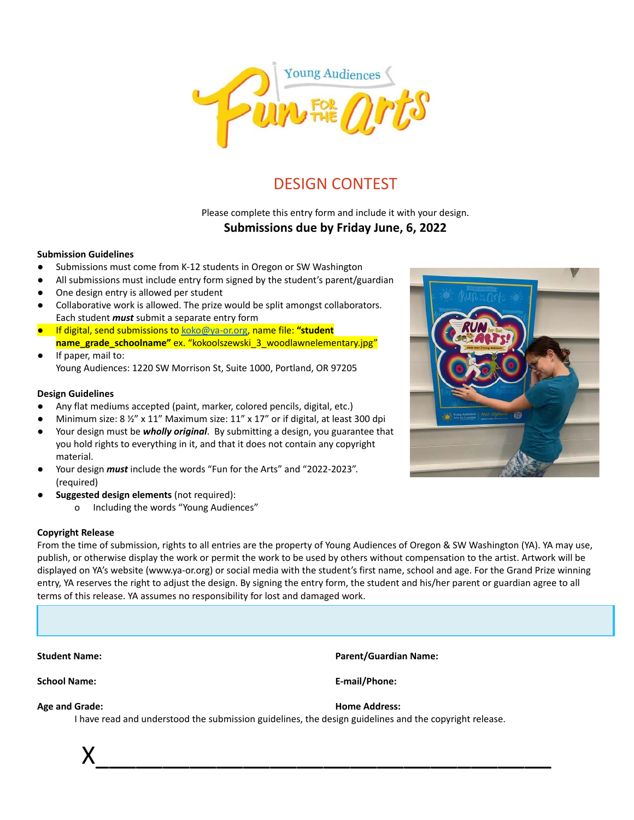

### DESIGN CONTEST

Please complete this entry form and include it with your design.

#### **Submissions due by Friday June, 6, 2022**

#### **Submission Guidelines**

- Submissions must come from K-12 students in Oregon or SW Washington
- All submissions must include entry form signed by the student's parent/guardian
- One design entry is allowed per student
- Collaborative work is allowed. The prize would be split amongst collaborators. Each student *must* submit a separate entry form
- If digital, send submissions to [koko@ya-or.org](mailto:koko@ya-or.org), name file: **"student name\_grade\_schoolname"** ex. "kokoolszewski\_3\_woodlawnelementary.jpg"
- If paper, mail to: Young Audiences: 1220 SW Morrison St, Suite 1000, Portland, OR 97205

#### **Design Guidelines**

- Any flat mediums accepted (paint, marker, colored pencils, digital, etc.)
- Minimum size: 8 1/2" x 11" Maximum size: 11" x 17" or if digital, at least 300 dpi
- Your design must be *wholly original*. By submitting a design, you guarantee that you hold rights to everything in it, and that it does not contain any copyright material.
- Your design *must* include the words "Fun for the Arts" and "2022-2023". (required)
- **● Suggested design elements** (not required):
	- o Including the words "Young Audiences"

#### **Copyright Release**

From the time of submission, rights to all entries are the property of Young Audiences of Oregon & SW Washington (YA). YA may use, publish, or otherwise display the work or permit the work to be used by others without compensation to the artist. Artwork will be displayed on YA's website (www.ya-or.org) or social media with the student's first name, school and age. For the Grand Prize winning entry, YA reserves the right to adjust the design. By signing the entry form, the student and his/her parent or guardian agree to all terms of this release. YA assumes no responsibility for lost and damaged work.

**Student Name:**

**School Name:**

**Age and Grade:**

**Parent/Guardian Name:**

**E-mail/Phone:**

**Home Address:**

I have read and understood the submission guidelines, the design guidelines and the copyright release.

 $X_\_$